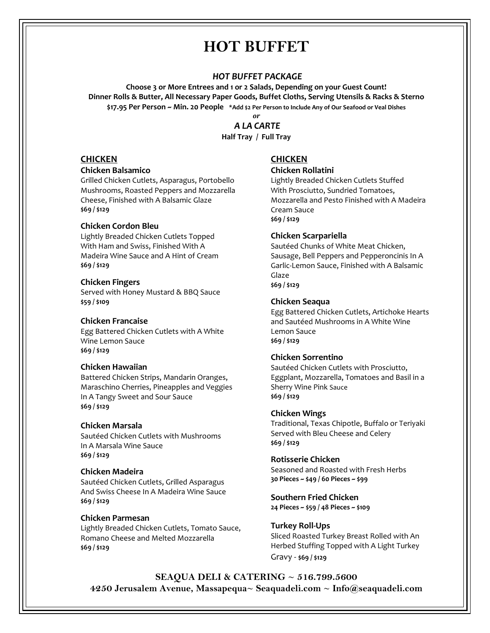# **HOT BUFFET**

## *HOT BUFFET PACKAGE*

**Choose 3 or More Entrees and 1 or 2 Salads, Depending on your Guest Count! Dinner Rolls & Butter, All Necessary Paper Goods, Buffet Cloths, Serving Utensils & Racks & Sterno \$17.95 Per Person ~ Min. 20 People \*Add \$2 Per Person to Include Any of Our Seafood or Veal Dishes**

## *or A LA CARTE* **Half Tray / Full Tray**

## **CHICKEN**

#### **Chicken Balsamico**

Grilled Chicken Cutlets, Asparagus, Portobello Mushrooms, Roasted Peppers and Mozzarella Cheese, Finished with A Balsamic Glaze **\$69 / \$129**

## **Chicken Cordon Bleu**

Lightly Breaded Chicken Cutlets Topped With Ham and Swiss, Finished With A Madeira Wine Sauce and A Hint of Cream **\$69 / \$129**

#### **Chicken Fingers**

Served with Honey Mustard & BBQ Sauce **\$59 / \$109**

#### **Chicken Francaise**

Egg Battered Chicken Cutlets with A White Wine Lemon Sauce **\$69 / \$129**

#### **Chicken Hawaiian**

Battered Chicken Strips, Mandarin Oranges, Maraschino Cherries, Pineapples and Veggies In A Tangy Sweet and Sour Sauce **\$69 / \$129**

#### **Chicken Marsala**

Sautéed Chicken Cutlets with Mushrooms In A Marsala Wine Sauce **\$69 / \$129**

#### **Chicken Madeira**

Sautéed Chicken Cutlets, Grilled Asparagus And Swiss Cheese In A Madeira Wine Sauce **\$69 / \$129**

## **Chicken Parmesan**

Lightly Breaded Chicken Cutlets, Tomato Sauce, Romano Cheese and Melted Mozzarella **\$69 / \$129**

## **CHICKEN**

#### **Chicken Rollatini**

Lightly Breaded Chicken Cutlets Stuffed With Prosciutto, Sundried Tomatoes, Mozzarella and Pesto Finished with A Madeira Cream Sauce **\$69 / \$129**

## **Chicken Scarpariella**

Sautéed Chunks of White Meat Chicken, Sausage, Bell Peppers and Pepperoncinis In A Garlic-Lemon Sauce, Finished with A Balsamic Glaze **\$69 / \$129**

## **Chicken Seaqua**

Egg Battered Chicken Cutlets, Artichoke Hearts and Sautéed Mushrooms in A White Wine Lemon Sauce **\$69 / \$129**

#### **Chicken Sorrentino**

Sautéed Chicken Cutlets with Prosciutto, Eggplant, Mozzarella, Tomatoes and Basil in a Sherry Wine Pink Sauce **\$69 / \$129**

#### **Chicken Wings**

Traditional, Texas Chipotle, Buffalo or Teriyaki Served with Bleu Cheese and Celery **\$69 / \$129**

## **Rotisserie Chicken**

Seasoned and Roasted with Fresh Herbs **30 Pieces ~ \$49 / 60 Pieces ~ \$99**

## **Southern Fried Chicken**

**24 Pieces ~ \$59 / 48 Pieces ~ \$109**

#### **Turkey Roll-Ups**

Sliced Roasted Turkey Breast Rolled with An Herbed Stuffing Topped with A Light Turkey Gravy - **\$69 / \$129**

**SEAQUA DELI & CATERING ~ 516.799.5600 4250 Jerusalem Avenue, Massapequa~ Seaquadeli.com ~ Info@seaquadeli.com**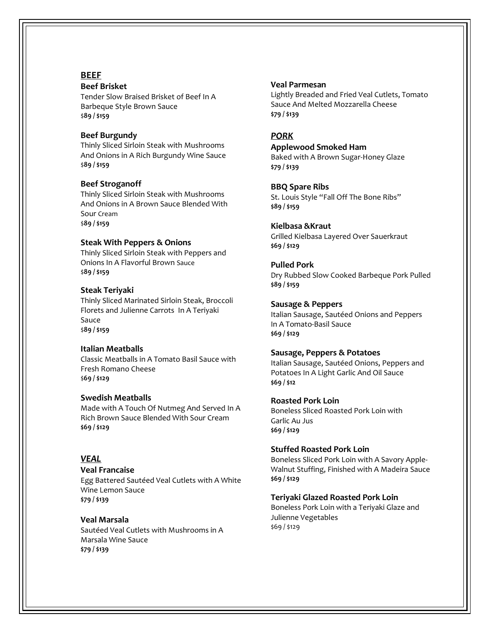## **BEEF**

#### **Beef Brisket**

Tender Slow Braised Brisket of Beef In A Barbeque Style Brown Sauce \$**89 / \$159**

#### **Beef Burgundy**

Thinly Sliced Sirloin Steak with Mushrooms And Onions in A Rich Burgundy Wine Sauce \$**89 / \$159**

#### **Beef Stroganoff**

Thinly Sliced Sirloin Steak with Mushrooms And Onions in A Brown Sauce Blended With Sour Cream \$**89 / \$159**

## **Steak With Peppers & Onions**

Thinly Sliced Sirloin Steak with Peppers and Onions In A Flavorful Brown Sauce \$**89 / \$159**

#### **Steak Teriyaki**

Thinly Sliced Marinated Sirloin Steak, Broccoli Florets and Julienne Carrots In A Teriyaki Sauce \$**89 / \$159**

#### **Italian Meatballs**

Classic Meatballs in A Tomato Basil Sauce with Fresh Romano Cheese \$**69 / \$129**

## **Swedish Meatballs**

Made with A Touch Of Nutmeg And Served In A Rich Brown Sauce Blended With Sour Cream **\$69 / \$129**

## *VEAL*

#### **Veal Francaise**

Egg Battered Sautéed Veal Cutlets with A White Wine Lemon Sauce **\$79 / \$139**

## **Veal Marsala**

Sautéed Veal Cutlets with Mushrooms in A Marsala Wine Sauce **\$79 / \$139**

#### **Veal Parmesan**

Lightly Breaded and Fried Veal Cutlets, Tomato Sauce And Melted Mozzarella Cheese **\$79 / \$139**

## *PORK*

#### **Applewood Smoked Ham**

Baked with A Brown Sugar-Honey Glaze **\$79 / \$139**

#### **BBQ Spare Ribs**

St. Louis Style "Fall Off The Bone Ribs" **\$89 / \$159**

#### **Kielbasa &Kraut**

Grilled Kielbasa Layered Over Sauerkraut **\$69 / \$129**

## **Pulled Pork**

Dry Rubbed Slow Cooked Barbeque Pork Pulled **\$89 / \$159**

#### **Sausage & Peppers**

Italian Sausage, Sautéed Onions and Peppers In A Tomato-Basil Sauce **\$69 / \$129**

#### **Sausage, Peppers & Potatoes**

Italian Sausage, Sautéed Onions, Peppers and Potatoes In A Light Garlic And Oil Sauce **\$69 / \$12**

#### **Roasted Pork Loin**

Boneless Sliced Roasted Pork Loin with Garlic Au Jus **\$69 / \$129**

#### **Stuffed Roasted Pork Loin**

Boneless Sliced Pork Loin with A Savory Apple-Walnut Stuffing, Finished with A Madeira Sauce **\$69 / \$129**

#### **Teriyaki Glazed Roasted Pork Loin**

Boneless Pork Loin with a Teriyaki Glaze and Julienne Vegetables \$69 / \$129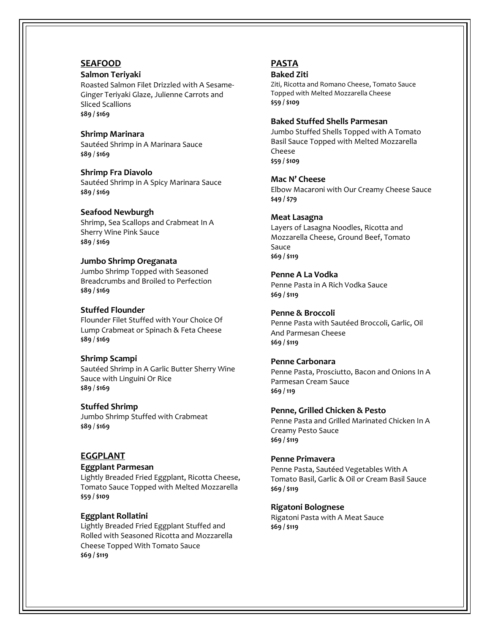## **SEAFOOD**

#### **Salmon Teriyaki**

Roasted Salmon Filet Drizzled with A Sesame-Ginger Teriyaki Glaze, Julienne Carrots and Sliced Scallions **\$89 / \$169**

**Shrimp Marinara** Sautéed Shrimp in A Marinara Sauce **\$89** / **\$169**

**Shrimp Fra Diavolo** Sautéed Shrimp in A Spicy Marinara Sauce **\$89 / \$169**

#### **Seafood Newburgh**

Shrimp, Sea Scallops and Crabmeat In A Sherry Wine Pink Sauce **\$89** / **\$169**

#### **Jumbo Shrimp Oreganata**

Jumbo Shrimp Topped with Seasoned Breadcrumbs and Broiled to Perfection **\$89 / \$169**

#### **Stuffed Flounder**

Flounder Filet Stuffed with Your Choice Of Lump Crabmeat or Spinach & Feta Cheese **\$89** / **\$169**

#### **Shrimp Scampi**

Sautéed Shrimp in A Garlic Butter Sherry Wine Sauce with Linguini Or Rice **\$89** / **\$169**

#### **Stuffed Shrimp**

Jumbo Shrimp Stuffed with Crabmeat **\$89** / **\$169**

#### **EGGPLANT**

## **Eggplant Parmesan**

Lightly Breaded Fried Eggplant, Ricotta Cheese, Tomato Sauce Topped with Melted Mozzarella **\$59 / \$109**

#### **Eggplant Rollatini**

Lightly Breaded Fried Eggplant Stuffed and Rolled with Seasoned Ricotta and Mozzarella Cheese Topped With Tomato Sauce **\$69 / \$119**

## **PASTA**

#### **Baked Ziti**

Ziti, Ricotta and Romano Cheese, Tomato Sauce Topped with Melted Mozzarella Cheese **\$59 / \$109**

#### **Baked Stuffed Shells Parmesan**

Jumbo Stuffed Shells Topped with A Tomato Basil Sauce Topped with Melted Mozzarella Cheese **\$59 / \$109**

**Mac N' Cheese** Elbow Macaroni with Our Creamy Cheese Sauce **\$49 / \$79** 

#### **Meat Lasagna**

Layers of Lasagna Noodles, Ricotta and Mozzarella Cheese, Ground Beef, Tomato Sauce **\$69 / \$119**

#### **Penne A La Vodka**

Penne Pasta in A Rich Vodka Sauce **\$69 / \$119**

**Penne & Broccoli** Penne Pasta with Sautéed Broccoli, Garlic, Oil And Parmesan Cheese

**\$69 / \$119**

## **Penne Carbonara**

Penne Pasta, Prosciutto, Bacon and Onions In A Parmesan Cream Sauce **\$69 / 119**

#### **Penne, Grilled Chicken & Pesto**

Penne Pasta and Grilled Marinated Chicken In A Creamy Pesto Sauce **\$69 / \$119**

#### **Penne Primavera**

Penne Pasta, Sautéed Vegetables With A Tomato Basil, Garlic & Oil or Cream Basil Sauce **\$69 / \$119**

#### **Rigatoni Bolognese**

Rigatoni Pasta with A Meat Sauce **\$69 / \$119**